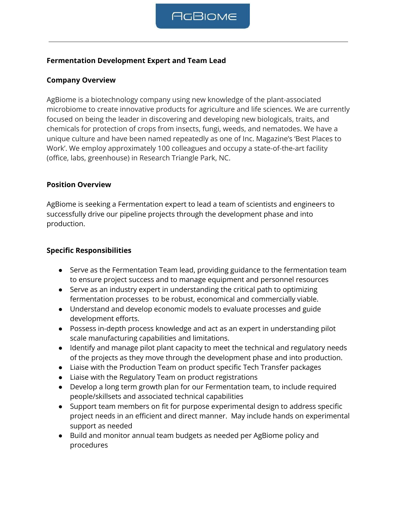### **Fermentation Development Expert and Team Lead**

### **Company Overview**

AgBiome is a biotechnology company using new knowledge of the plant-associated microbiome to create innovative products for agriculture and life sciences. We are currently focused on being the leader in discovering and developing new biologicals, traits, and chemicals for protection of crops from insects, fungi, weeds, and nematodes. We have a unique culture and have been named repeatedly as one of Inc. Magazine's 'Best Places to Work'. We employ approximately 100 colleagues and occupy a state-of-the-art facility (office, labs, greenhouse) in Research Triangle Park, NC.

#### **Position Overview**

AgBiome is seeking a Fermentation expert to lead a team of scientists and engineers to successfully drive our pipeline projects through the development phase and into production.

#### **Specific Responsibilities**

- Serve as the Fermentation Team lead, providing guidance to the fermentation team to ensure project success and to manage equipment and personnel resources
- Serve as an industry expert in understanding the critical path to optimizing fermentation processes to be robust, economical and commercially viable.
- Understand and develop economic models to evaluate processes and guide development efforts.
- Possess in-depth process knowledge and act as an expert in understanding pilot scale manufacturing capabilities and limitations.
- Identify and manage pilot plant capacity to meet the technical and regulatory needs of the projects as they move through the development phase and into production.
- Liaise with the Production Team on product specific Tech Transfer packages
- Liaise with the Regulatory Team on product registrations
- Develop a long term growth plan for our Fermentation team, to include required people/skillsets and associated technical capabilities
- Support team members on fit for purpose experimental design to address specific project needs in an efficient and direct manner. May include hands on experimental support as needed
- Build and monitor annual team budgets as needed per AgBiome policy and procedures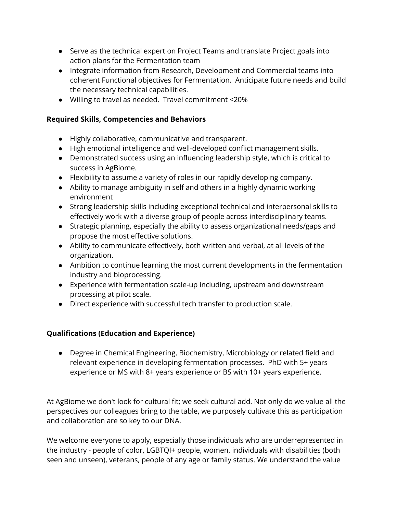- Serve as the technical expert on Project Teams and translate Project goals into action plans for the Fermentation team
- Integrate information from Research, Development and Commercial teams into coherent Functional objectives for Fermentation. Anticipate future needs and build the necessary technical capabilities.
- Willing to travel as needed. Travel commitment <20%

## **Required Skills, Competencies and Behaviors**

- Highly collaborative, communicative and transparent.
- High emotional intelligence and well-developed conflict management skills.
- Demonstrated success using an influencing leadership style, which is critical to success in AgBiome.
- Flexibility to assume a variety of roles in our rapidly developing company.
- Ability to manage ambiguity in self and others in a highly dynamic working environment
- Strong leadership skills including exceptional technical and interpersonal skills to effectively work with a diverse group of people across interdisciplinary teams.
- Strategic planning, especially the ability to assess organizational needs/gaps and propose the most effective solutions.
- Ability to communicate effectively, both written and verbal, at all levels of the organization.
- Ambition to continue learning the most current developments in the fermentation industry and bioprocessing.
- Experience with fermentation scale-up including, upstream and downstream processing at pilot scale.
- Direct experience with successful tech transfer to production scale.

# **Qualifications (Education and Experience)**

● Degree in Chemical Engineering, Biochemistry, Microbiology or related field and relevant experience in developing fermentation processes. PhD with 5+ years experience or MS with 8+ years experience or BS with 10+ years experience.

At AgBiome we don't look for cultural fit; we seek cultural add. Not only do we value all the perspectives our colleagues bring to the table, we purposely cultivate this as participation and collaboration are so key to our DNA.

We welcome everyone to apply, especially those individuals who are underrepresented in the industry - people of color, LGBTQI+ people, women, individuals with disabilities (both seen and unseen), veterans, people of any age or family status. We understand the value